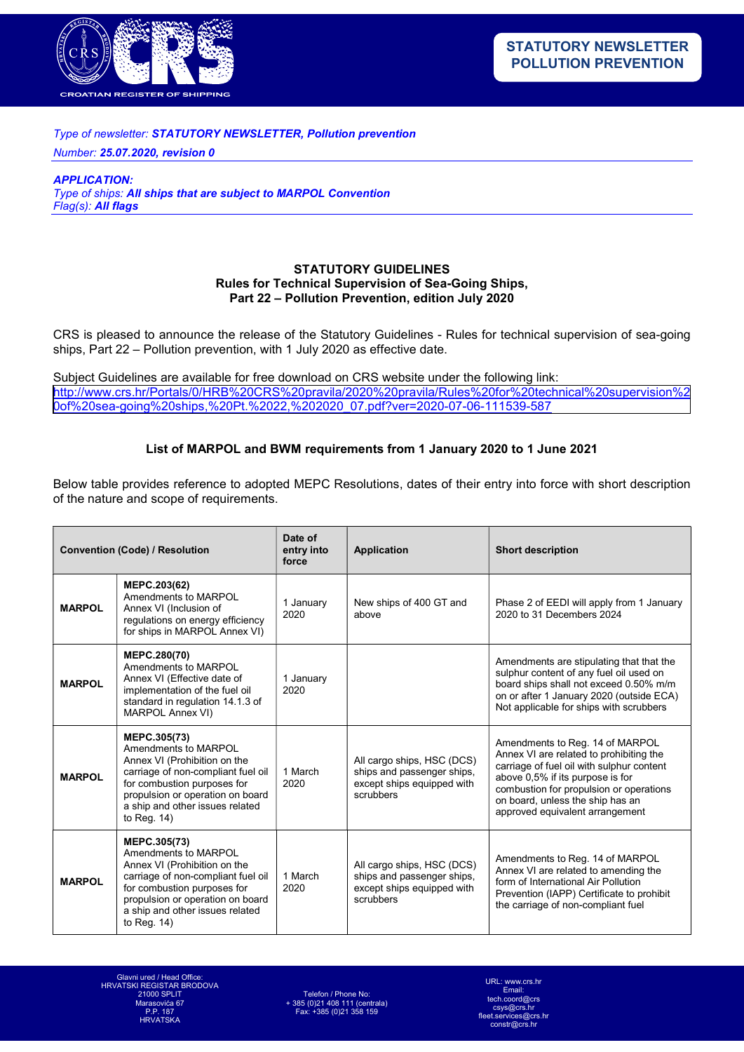

## Type of newsletter: STATUTORY NEWSLETTER, Pollution prevention

Number: 25.07.2020, revision 0

APPLICATION: Type of ships: All ships that are subject to MARPOL Convention Flag(s): All flags

## STATUTORY GUIDELINES Rules for Technical Supervision of Sea-Going Ships, Part 22 – Pollution Prevention, edition July 2020

CRS is pleased to announce the release of the Statutory Guidelines - Rules for technical supervision of sea-going ships, Part 22 – Pollution prevention, with 1 July 2020 as effective date.

Subject Guidelines are available for free download on CRS website under the following link: [http://www.crs.hr/Portals/0/HRB%20CRS%20pravila/2020%20pravila/Rules%20for%20technical%20supervision%2](http://www.crs.hr/Portals/0/HRB%20CRS%20pravila/2020%20pravila/Rules%20for%20technical%20supervision%20of%20sea-going%20ships,%20Pt.%2022,%202020_07.pdf?ver=2020-07-06-111539-587) 0of%20sea-going%20ships,%20Pt.%2022,%202020\_07.pdf?ver=2020-07-06-111539-587

## List of MARPOL and BWM requirements from 1 January 2020 to 1 June 2021

Below table provides reference to adopted MEPC Resolutions, dates of their entry into force with short description of the nature and scope of requirements.

| <b>Convention (Code) / Resolution</b> |                                                                                                                                                                                                                                    | Date of<br>entry into<br>force | <b>Application</b>                                                                                  | <b>Short description</b>                                                                                                                                                                                                                                                      |
|---------------------------------------|------------------------------------------------------------------------------------------------------------------------------------------------------------------------------------------------------------------------------------|--------------------------------|-----------------------------------------------------------------------------------------------------|-------------------------------------------------------------------------------------------------------------------------------------------------------------------------------------------------------------------------------------------------------------------------------|
| <b>MARPOL</b>                         | MEPC.203(62)<br>Amendments to MARPOL<br>Annex VI (Inclusion of<br>regulations on energy efficiency<br>for ships in MARPOL Annex VI)                                                                                                | 1 January<br>2020              | New ships of 400 GT and<br>above                                                                    | Phase 2 of EEDI will apply from 1 January<br>2020 to 31 Decembers 2024                                                                                                                                                                                                        |
| <b>MARPOL</b>                         | <b>MEPC.280(70)</b><br>Amendments to MARPOL<br>Annex VI (Effective date of<br>implementation of the fuel oil<br>standard in regulation 14.1.3 of<br><b>MARPOL Annex VI)</b>                                                        | 1 January<br>2020              |                                                                                                     | Amendments are stipulating that that the<br>sulphur content of any fuel oil used on<br>board ships shall not exceed 0.50% m/m<br>on or after 1 January 2020 (outside ECA)<br>Not applicable for ships with scrubbers                                                          |
| <b>MARPOL</b>                         | MEPC.305(73)<br>Amendments to MARPOL<br>Annex VI (Prohibition on the<br>carriage of non-compliant fuel oil<br>for combustion purposes for<br>propulsion or operation on board<br>a ship and other issues related<br>to Req. $14$ ) | 1 March<br>2020                | All cargo ships, HSC (DCS)<br>ships and passenger ships,<br>except ships equipped with<br>scrubbers | Amendments to Reg. 14 of MARPOL<br>Annex VI are related to prohibiting the<br>carriage of fuel oil with sulphur content<br>above 0,5% if its purpose is for<br>combustion for propulsion or operations<br>on board, unless the ship has an<br>approved equivalent arrangement |
| <b>MARPOL</b>                         | MEPC.305(73)<br>Amendments to MARPOL<br>Annex VI (Prohibition on the<br>carriage of non-compliant fuel oil<br>for combustion purposes for<br>propulsion or operation on board<br>a ship and other issues related<br>to Req. $14$ ) | 1 March<br>2020                | All cargo ships, HSC (DCS)<br>ships and passenger ships,<br>except ships equipped with<br>scrubbers | Amendments to Reg. 14 of MARPOL<br>Annex VI are related to amending the<br>form of International Air Pollution<br>Prevention (IAPP) Certificate to prohibit<br>the carriage of non-compliant fuel                                                                             |

Telefon / Phone No: + 385 (0)21 408 111 (centrala) Fax: +385 (0)21 358 159

URL: www.crs.hr Email: ch.coord@crs csys@crs.hr es@crs.h  $constr@crs.h$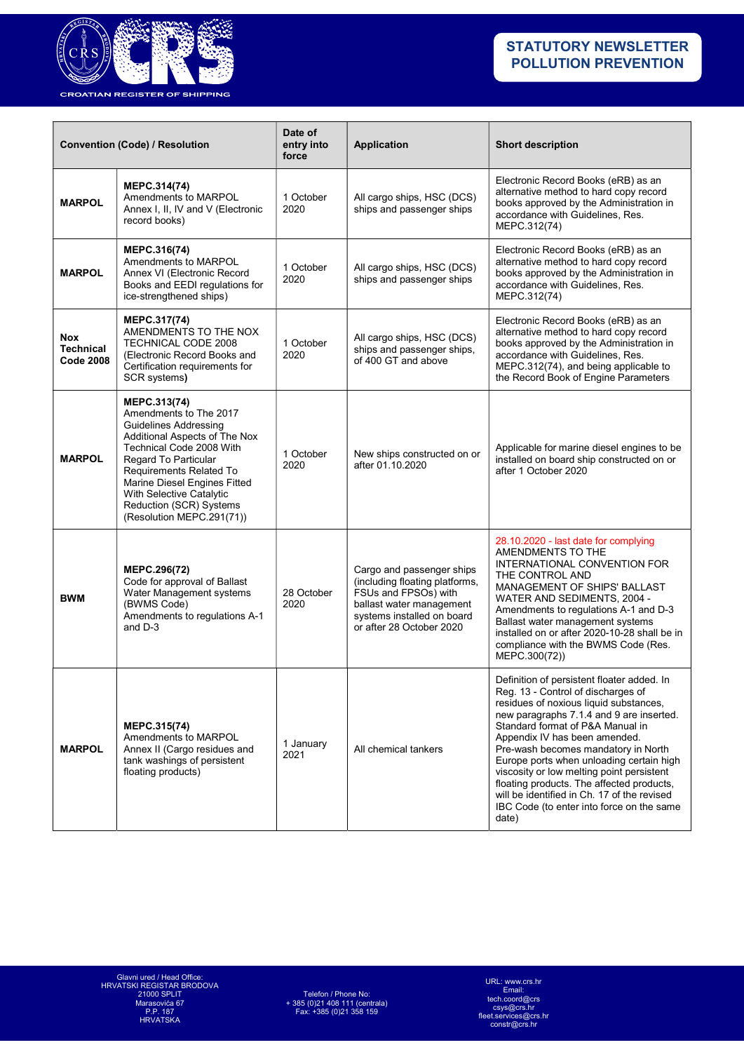

| <b>Convention (Code) / Resolution</b>              |                                                                                                                                                                                                                                                                                                            | Date of<br>entry into<br>force | <b>Application</b>                                                                                                                                                        | <b>Short description</b>                                                                                                                                                                                                                                                                                                                                                                                                                                                                                                      |
|----------------------------------------------------|------------------------------------------------------------------------------------------------------------------------------------------------------------------------------------------------------------------------------------------------------------------------------------------------------------|--------------------------------|---------------------------------------------------------------------------------------------------------------------------------------------------------------------------|-------------------------------------------------------------------------------------------------------------------------------------------------------------------------------------------------------------------------------------------------------------------------------------------------------------------------------------------------------------------------------------------------------------------------------------------------------------------------------------------------------------------------------|
| <b>MARPOL</b>                                      | MEPC.314(74)<br>Amendments to MARPOL<br>Annex I, II, IV and V (Electronic<br>record books)                                                                                                                                                                                                                 | 1 October<br>2020              | All cargo ships, HSC (DCS)<br>ships and passenger ships                                                                                                                   | Electronic Record Books (eRB) as an<br>alternative method to hard copy record<br>books approved by the Administration in<br>accordance with Guidelines, Res.<br>MEPC.312(74)                                                                                                                                                                                                                                                                                                                                                  |
| <b>MARPOL</b>                                      | MEPC.316(74)<br>Amendments to MARPOL<br>Annex VI (Electronic Record<br>Books and EEDI regulations for<br>ice-strengthened ships)                                                                                                                                                                           | 1 October<br>2020              | All cargo ships, HSC (DCS)<br>ships and passenger ships                                                                                                                   | Electronic Record Books (eRB) as an<br>alternative method to hard copy record<br>books approved by the Administration in<br>accordance with Guidelines, Res.<br>MEPC.312(74)                                                                                                                                                                                                                                                                                                                                                  |
| <b>Nox</b><br><b>Technical</b><br><b>Code 2008</b> | MEPC.317(74)<br>AMENDMENTS TO THE NOX<br>TECHNICAL CODE 2008<br>(Electronic Record Books and<br>Certification requirements for<br>SCR systems)                                                                                                                                                             | 1 October<br>2020              | All cargo ships, HSC (DCS)<br>ships and passenger ships,<br>of 400 GT and above                                                                                           | Electronic Record Books (eRB) as an<br>alternative method to hard copy record<br>books approved by the Administration in<br>accordance with Guidelines, Res.<br>MEPC.312(74), and being applicable to<br>the Record Book of Engine Parameters                                                                                                                                                                                                                                                                                 |
| <b>MARPOL</b>                                      | MEPC.313(74)<br>Amendments to The 2017<br><b>Guidelines Addressing</b><br>Additional Aspects of The Nox<br>Technical Code 2008 With<br>Regard To Particular<br>Requirements Related To<br>Marine Diesel Engines Fitted<br>With Selective Catalytic<br>Reduction (SCR) Systems<br>(Resolution MEPC.291(71)) | 1 October<br>2020              | New ships constructed on or<br>after 01.10.2020                                                                                                                           | Applicable for marine diesel engines to be<br>installed on board ship constructed on or<br>after 1 October 2020                                                                                                                                                                                                                                                                                                                                                                                                               |
| <b>BWM</b>                                         | MEPC.296(72)<br>Code for approval of Ballast<br>Water Management systems<br>(BWMS Code)<br>Amendments to regulations A-1<br>and D-3                                                                                                                                                                        | 28 October<br>2020             | Cargo and passenger ships<br>(including floating platforms,<br>FSUs and FPSOs) with<br>ballast water management<br>systems installed on board<br>or after 28 October 2020 | 28.10.2020 - last date for complying<br>AMENDMENTS TO THE<br>INTERNATIONAL CONVENTION FOR<br>THE CONTROL AND<br>MANAGEMENT OF SHIPS' BALLAST<br>WATER AND SEDIMENTS, 2004 -<br>Amendments to regulations A-1 and D-3<br>Ballast water management systems<br>installed on or after 2020-10-28 shall be in<br>compliance with the BWMS Code (Res.<br>MEPC.300(72))                                                                                                                                                              |
| <b>MARPOL</b>                                      | MEPC.315(74)<br>Amendments to MARPOL<br>Annex II (Cargo residues and<br>tank washings of persistent<br>floating products)                                                                                                                                                                                  | 1 January<br>2021              | All chemical tankers                                                                                                                                                      | Definition of persistent floater added. In<br>Reg. 13 - Control of discharges of<br>residues of noxious liquid substances,<br>new paragraphs 7.1.4 and 9 are inserted.<br>Standard format of P&A Manual in<br>Appendix IV has been amended.<br>Pre-wash becomes mandatory in North<br>Europe ports when unloading certain high<br>viscosity or low melting point persistent<br>floating products. The affected products,<br>will be identified in Ch. 17 of the revised<br>IBC Code (to enter into force on the same<br>date) |

URL: www.crs.hr Email: tech.coord@crs csys@crs.hr fleet.services@crs.hr constr@crs.hr